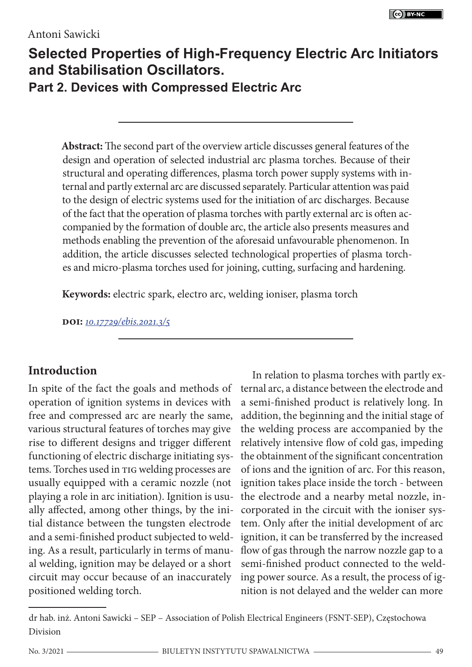#### Antoni Sawicki

# **Selected Properties of High-Frequency Electric Arc Initiators and Stabilisation Oscillators. Part 2. Devices with Compressed Electric Arc**

**Abstract:** The second part of the overview article discusses general features of the design and operation of selected industrial arc plasma torches. Because of their structural and operating differences, plasma torch power supply systems with internal and partly external arc are discussed separately. Particular attention was paid to the design of electric systems used for the initiation of arc discharges. Because of the fact that the operation of plasma torches with partly external arc is often accompanied by the formation of double arc, the article also presents measures and methods enabling the prevention of the aforesaid unfavourable phenomenon. In addition, the article discusses selected technological properties of plasma torches and micro-plasma torches used for joining, cutting, surfacing and hardening.

**Keywords:** electric spark, electro arc, welding ioniser, plasma torch

**doi:** *10.17729/ebis.2021.3/5*

### **Introduction**

In spite of the fact the goals and methods of operation of ignition systems in devices with free and compressed arc are nearly the same, various structural features of torches may give rise to different designs and trigger different functioning of electric discharge initiating systems. Torches used in TIG welding processes are usually equipped with a ceramic nozzle (not playing a role in arc initiation). Ignition is usually affected, among other things, by the initial distance between the tungsten electrode and a semi-finished product subjected to welding. As a result, particularly in terms of manual welding, ignition may be delayed or a short circuit may occur because of an inaccurately positioned welding torch.

In relation to plasma torches with partly external arc, a distance between the electrode and a semi-finished product is relatively long. In addition, the beginning and the initial stage of the welding process are accompanied by the relatively intensive flow of cold gas, impeding the obtainment of the significant concentration of ions and the ignition of arc. For this reason, ignition takes place inside the torch - between the electrode and a nearby metal nozzle, incorporated in the circuit with the ioniser system. Only after the initial development of arc ignition, it can be transferred by the increased flow of gas through the narrow nozzle gap to a semi-finished product connected to the welding power source. As a result, the process of ignition is not delayed and the welder can more

dr hab. inż. Antoni Sawicki – SEP – Association of Polish Electrical Engineers (FSNT-SEP), Częstochowa Division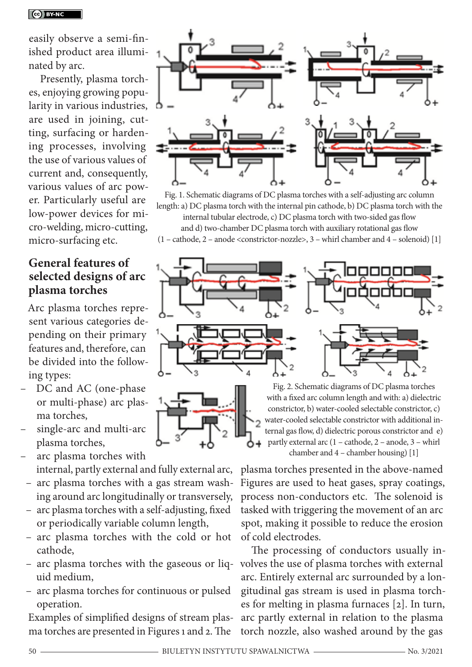easily observe a semi-finished product area illuminated by arc.

Presently, plasma torches, enjoying growing popularity in various industries, are used in joining, cutting, surfacing or hardening processes, involving the use of various values of current and, consequently, various values of arc power. Particularly useful are low-power devices for micro-welding, micro-cutting, micro-surfacing etc.

#### **General features of selected designs of arc plasma torches**

Arc plasma torches represent various categories depending on their primary features and, therefore, can be divided into the following types:

- DC and AC (one-phase or multi-phase) arc plasma torches,
- single-arc and multi-arc plasma torches,
- arc plasma torches with internal, partly external and fully external arc,
- arc plasma torches with a gas stream washing around arc longitudinally or transversely,
- arc plasma torches with a self-adjusting, fixed or periodically variable column length,
- arc plasma torches with the cold or hot cathode,
- arc plasma torches with the gaseous or liq-volves the use of plasma torches with external uid medium,
- arc plasma torches for continuous or pulsed operation.

Examples of simplified designs of stream plasma torches are presented in Figures 1 and 2. The



Fig. 1. Schematic diagrams of DC plasma torches with a self-adjusting arc column length: a) DC plasma torch with the internal pin cathode, b) DC plasma torch with the internal tubular electrode, c) DC plasma torch with two-sided gas flow and d) two-chamber DC plasma torch with auxiliary rotational gas flow  $(1 - \text{cathode}, 2 - \text{anode} < \text{constricitor-nozzle} > 3 - \text{whirl} \text{ chamber and } 4 - \text{solenoid})$  [1]



Fig. 2. Schematic diagrams of DC plasma torches with a fixed arc column length and with: a) dielectric constrictor, b) water-cooled selectable constrictor, c) water-cooled selectable constrictor with additional internal gas flow, d) dielectric porous constrictor and e) partly external arc (1 – cathode, 2 – anode, 3 – whirl chamber and 4 – chamber housing) [1]

plasma torches presented in the above-named Figures are used to heat gases, spray coatings, process non-conductors etc. The solenoid is tasked with triggering the movement of an arc spot, making it possible to reduce the erosion of cold electrodes.

The processing of conductors usually inarc. Entirely external arc surrounded by a longitudinal gas stream is used in plasma torches for melting in plasma furnaces [2]. In turn, arc partly external in relation to the plasma torch nozzle, also washed around by the gas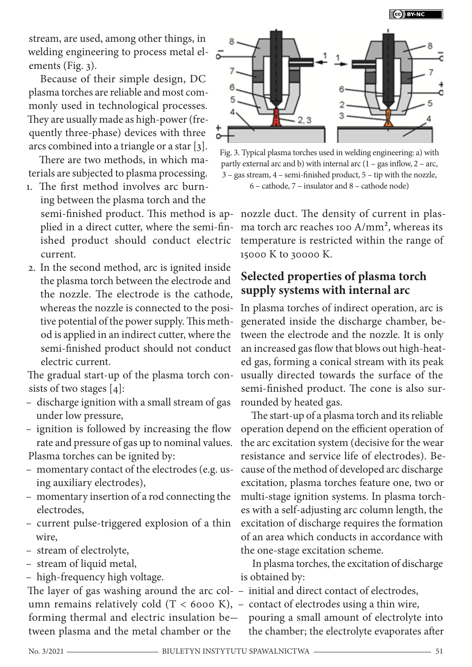stream, are used, among other things, in welding engineering to process metal elements (Fig. 3).

Because of their simple design, DC plasma torches are reliable and most commonly used in technological processes. They are usually made as high-power (frequently three-phase) devices with three arcs combined into a triangle or a star [3].

There are two methods, in which materials are subjected to plasma processing.

- 1. The first method involves arc burning between the plasma torch and the plied in a direct cutter, where the semi-finished product should conduct electric current.
- 2. In the second method, arc is ignited inside the plasma torch between the electrode and the nozzle. The electrode is the cathode, whereas the nozzle is connected to the positive potential of the power supply. This method is applied in an indirect cutter, where the semi-finished product should not conduct electric current.

The gradual start-up of the plasma torch consists of two stages [4]:

- discharge ignition with a small stream of gas under low pressure,
- ignition is followed by increasing the flow rate and pressure of gas up to nominal values.

Plasma torches can be ignited by:

- momentary contact of the electrodes (e.g. using auxiliary electrodes),
- momentary insertion of a rod connecting the electrodes,
- current pulse-triggered explosion of a thin wire,
- stream of electrolyte,
- stream of liquid metal,
- high-frequency high voltage.

The layer of gas washing around the arc col-– initial and direct contact of electrodes, umn remains relatively cold  $(T < 6000 \text{ K})$ ,  $-$  contact of electrodes using a thin wire, forming thermal and electric insulation be— pouring a small amount of electrolyte into tween plasma and the metal chamber or the



Fig. 3. Typical plasma torches used in welding engineering: a) with partly external arc and b) with internal arc  $(1 - gas)$  inflow,  $2 - arc$ , 3 – gas stream, 4 – semi-finished product, 5 – tip with the nozzle, 6 – cathode, 7 – insulator and 8 – cathode node)

semi-finished product. This method is ap-nozzle duct. The density of current in plasma torch arc reaches 100  $A/mm^2$ , whereas its temperature is restricted within the range of 15000 K to 30000 K.

## **Selected properties of plasma torch supply systems with internal arc**

In plasma torches of indirect operation, arc is generated inside the discharge chamber, between the electrode and the nozzle. It is only an increased gas flow that blows out high-heated gas, forming a conical stream with its peak usually directed towards the surface of the semi-finished product. The cone is also surrounded by heated gas.

The start-up of a plasma torch and its reliable operation depend on the efficient operation of the arc excitation system (decisive for the wear resistance and service life of electrodes). Because of the method of developed arc discharge excitation, plasma torches feature one, two or multi-stage ignition systems. In plasma torches with a self-adjusting arc column length, the excitation of discharge requires the formation of an area which conducts in accordance with the one-stage excitation scheme.

In plasma torches, the excitation of discharge is obtained by:

- 
- 

the chamber; the electrolyte evaporates after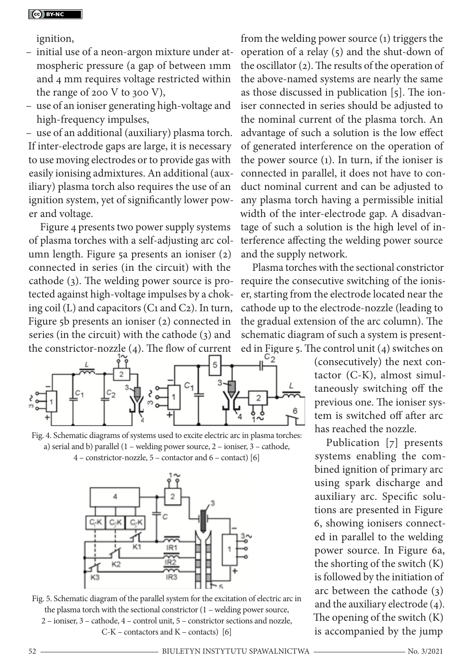ignition,

- initial use of a neon-argon mixture under atmospheric pressure (a gap of between 1mm and 4 mm requires voltage restricted within the range of 200 V to 300 V),
- use of an ioniser generating high-voltage and high-frequency impulses,

– use of an additional (auxiliary) plasma torch. If inter-electrode gaps are large, it is necessary to use moving electrodes or to provide gas with easily ionising admixtures. An additional (auxiliary) plasma torch also requires the use of an ignition system, yet of significantly lower power and voltage.

Figure 4 presents two power supply systems of plasma torches with a self-adjusting arc column length. Figure 5a presents an ioniser (2) connected in series (in the circuit) with the cathode (3). The welding power source is protected against high-voltage impulses by a choking coil (L) and capacitors (C1 and C2). In turn, Figure 5b presents an ioniser (2) connected in series (in the circuit) with the cathode (3) and the constrictor-nozzle (4). The flow of current



Fig. 4. Schematic diagrams of systems used to excite electric arc in plasma torches: a) serial and b) parallel (1 – welding power source, 2 – ioniser, 3 – cathode,

4 – constrictor-nozzle, 5 – contactor and 6 – contact) [6]





from the welding power source (1) triggers the operation of a relay (5) and the shut-down of the oscillator (2). The results of the operation of the above-named systems are nearly the same as those discussed in publication [5]. The ioniser connected in series should be adjusted to the nominal current of the plasma torch. An advantage of such a solution is the low effect of generated interference on the operation of the power source (1). In turn, if the ioniser is connected in parallel, it does not have to conduct nominal current and can be adjusted to any plasma torch having a permissible initial width of the inter-electrode gap. A disadvantage of such a solution is the high level of interference affecting the welding power source and the supply network.

Plasma torches with the sectional constrictor require the consecutive switching of the ioniser, starting from the electrode located near the cathode up to the electrode-nozzle (leading to the gradual extension of the arc column). The schematic diagram of such a system is presented in Figure 5. The control unit (4) switches on<br> $\frac{C_2}{a}$  (consecutively) the next con-

(consecutively) the next contactor (C-K), almost simultaneously switching off the previous one. The ioniser system is switched off after arc has reached the nozzle.

Publication [7] presents systems enabling the combined ignition of primary arc using spark discharge and auxiliary arc. Specific solutions are presented in Figure 6, showing ionisers connected in parallel to the welding power source. In Figure 6a, the shorting of the switch (K) is followed by the initiation of arc between the cathode (3) and the auxiliary electrode (4). The opening of the switch (K) is accompanied by the jump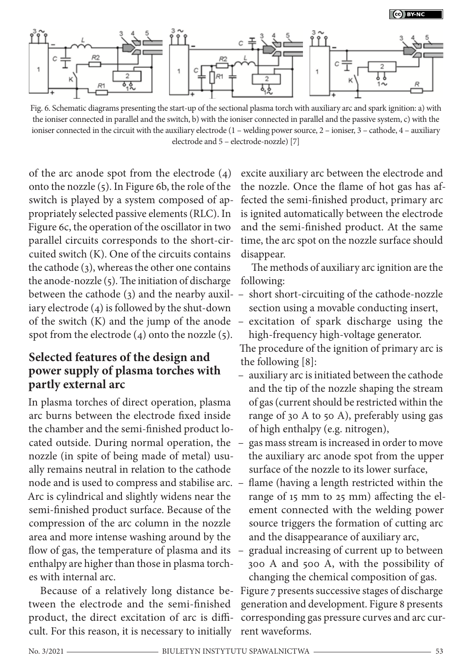

Fig. 6. Schematic diagrams presenting the start-up of the sectional plasma torch with auxiliary arc and spark ignition: a) with the ioniser connected in parallel and the switch, b) with the ioniser connected in parallel and the passive system, c) with the ioniser connected in the circuit with the auxiliary electrode (1 – welding power source, 2 – ioniser, 3 – cathode, 4 – auxiliary electrode and 5 – electrode-nozzle) [7]

of the arc anode spot from the electrode (4) onto the nozzle (5). In Figure 6b, the role of the switch is played by a system composed of appropriately selected passive elements (RLC). In Figure 6c, the operation of the oscillator in two parallel circuits corresponds to the short-circuited switch (K). One of the circuits contains the cathode (3), whereas the other one contains the anode-nozzle  $(5)$ . The initiation of discharge iary electrode (4) is followed by the shut-down of the switch (K) and the jump of the anode spot from the electrode  $(4)$  onto the nozzle  $(5)$ .

### **Selected features of the design and power supply of plasma torches with partly external arc**

In plasma torches of direct operation, plasma arc burns between the electrode fixed inside the chamber and the semi-finished product located outside. During normal operation, the nozzle (in spite of being made of metal) usually remains neutral in relation to the cathode Arc is cylindrical and slightly widens near the semi-finished product surface. Because of the compression of the arc column in the nozzle area and more intense washing around by the flow of gas, the temperature of plasma and its enthalpy are higher than those in plasma torches with internal arc.

Because of a relatively long distance between the electrode and the semi-finished product, the direct excitation of arc is difficult. For this reason, it is necessary to initially

excite auxiliary arc between the electrode and the nozzle. Once the flame of hot gas has affected the semi-finished product, primary arc is ignited automatically between the electrode and the semi-finished product. At the same time, the arc spot on the nozzle surface should disappear.

The methods of auxiliary arc ignition are the following:

- between the cathode (3) and the nearby auxil-– short short-circuiting of the cathode-nozzle section using a movable conducting insert,
	- excitation of spark discharge using the high-frequency high-voltage generator.

The procedure of the ignition of primary arc is the following [8]:

- auxiliary arc is initiated between the cathode and the tip of the nozzle shaping the stream of gas (current should be restricted within the range of 30 A to 50 A), preferably using gas of high enthalpy (e.g. nitrogen),
- gas mass stream is increased in order to move the auxiliary arc anode spot from the upper surface of the nozzle to its lower surface,
- node and is used to compress and stabilise arc. flame (having a length restricted within the range of 15 mm to 25 mm) affecting the element connected with the welding power source triggers the formation of cutting arc and the disappearance of auxiliary arc,
	- gradual increasing of current up to between 300 A and 500 A, with the possibility of changing the chemical composition of gas.

Figure 7 presents successive stages of discharge generation and development. Figure 8 presents corresponding gas pressure curves and arc current waveforms.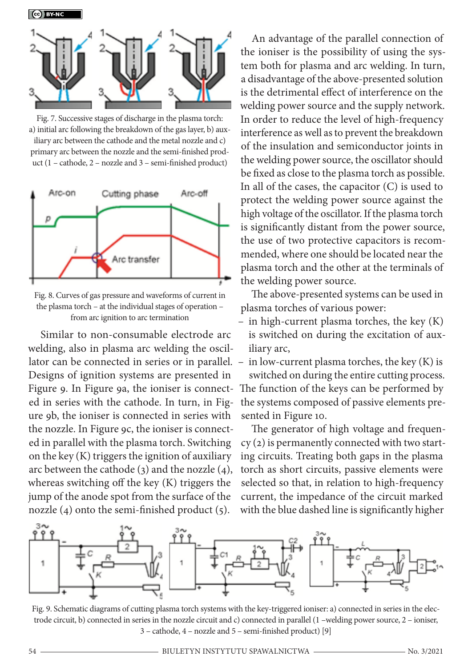

Fig. 7. Successive stages of discharge in the plasma torch: a) initial arc following the breakdown of the gas layer, b) auxiliary arc between the cathode and the metal nozzle and c) primary arc between the nozzle and the semi-finished product (1 – cathode, 2 – nozzle and 3 – semi-finished product)



Fig. 8. Curves of gas pressure and waveforms of current in the plasma torch – at the individual stages of operation – from arc ignition to arc termination

Similar to non-consumable electrode arc welding, also in plasma arc welding the oscil-Designs of ignition systems are presented in Figure 9. In Figure 9a, the ioniser is connected in series with the cathode. In turn, in Figure 9b, the ioniser is connected in series with the nozzle. In Figure 9c, the ioniser is connected in parallel with the plasma torch. Switching on the key (K) triggers the ignition of auxiliary arc between the cathode (3) and the nozzle (4), whereas switching off the key (K) triggers the jump of the anode spot from the surface of the nozzle (4) onto the semi-finished product (5).

An advantage of the parallel connection of the ioniser is the possibility of using the system both for plasma and arc welding. In turn, a disadvantage of the above-presented solution is the detrimental effect of interference on the welding power source and the supply network. In order to reduce the level of high-frequency interference as well as to prevent the breakdown of the insulation and semiconductor joints in the welding power source, the oscillator should be fixed as close to the plasma torch as possible. In all of the cases, the capacitor (C) is used to protect the welding power source against the high voltage of the oscillator. If the plasma torch is significantly distant from the power source, the use of two protective capacitors is recommended, where one should be located near the plasma torch and the other at the terminals of the welding power source.

The above-presented systems can be used in plasma torches of various power:

- in high-current plasma torches, the key (K) is switched on during the excitation of auxiliary arc,
- lator can be connected in series or in parallel. in low-current plasma torches, the key (K) is

switched on during the entire cutting process. The function of the keys can be performed by the systems composed of passive elements presented in Figure 10.

The generator of high voltage and frequency (2) is permanently connected with two starting circuits. Treating both gaps in the plasma torch as short circuits, passive elements were selected so that, in relation to high-frequency current, the impedance of the circuit marked with the blue dashed line is significantly higher



Fig. 9. Schematic diagrams of cutting plasma torch systems with the key-triggered ioniser: a) connected in series in the electrode circuit, b) connected in series in the nozzle circuit and c) connected in parallel (1 –welding power source, 2 – ioniser, 3 – cathode, 4 – nozzle and 5 – semi-finished product) [9]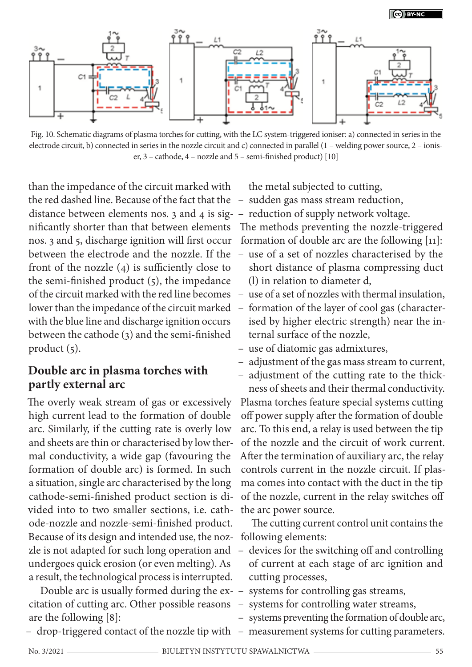

Fig. 10. Schematic diagrams of plasma torches for cutting, with the LC system-triggered ioniser: a) connected in series in the electrode circuit, b) connected in series in the nozzle circuit and c) connected in parallel (1 – welding power source, 2 – ioniser, 3 – cathode, 4 – nozzle and 5 – semi-finished product) [10]

than the impedance of the circuit marked with the red dashed line. Because of the fact that the – sudden gas mass stream reduction, distance between elements nos. 3 and 4 is sig-– reduction of supply network voltage. between the electrode and the nozzle. If the – use of a set of nozzles characterised by the front of the nozzle (4) is sufficiently close to the semi-finished product (5), the impedance with the blue line and discharge ignition occurs between the cathode (3) and the semi-finished product (5).

## **Double arc in plasma torches with partly external arc**

The overly weak stream of gas or excessively high current lead to the formation of double arc. Similarly, if the cutting rate is overly low and sheets are thin or characterised by low thermal conductivity, a wide gap (favouring the formation of double arc) is formed. In such a situation, single arc characterised by the long cathode-semi-finished product section is divided into to two smaller sections, i.e. cathode-nozzle and nozzle-semi-finished product. Because of its design and intended use, the noz- following elements: undergoes quick erosion (or even melting). As a result, the technological process is interrupted.

Double arc is usually formed during the ex-– systems for controlling gas streams, citation of cutting arc. Other possible reasons are the following [8]:

– drop-triggered contact of the nozzle tip with – measurement systems for cutting parameters.

the metal subjected to cutting,

- 
- 
- nificantly shorter than that between elements The methods preventing the nozzle-triggered nos. 3 and 5, discharge ignition will first occur formation of double arc are the following [11]:
	- short distance of plasma compressing duct (l) in relation to diameter d,
- of the circuit marked with the red line becomes use of a set of nozzles with thermal insulation,
- lower than the impedance of the circuit marked formation of the layer of cool gas (characterised by higher electric strength) near the internal surface of the nozzle,
	- use of diatomic gas admixtures,
	- adjustment of the gas mass stream to current,
	- adjustment of the cutting rate to the thickness of sheets and their thermal conductivity.

Plasma torches feature special systems cutting off power supply after the formation of double arc. To this end, a relay is used between the tip of the nozzle and the circuit of work current. After the termination of auxiliary arc, the relay controls current in the nozzle circuit. If plasma comes into contact with the duct in the tip of the nozzle, current in the relay switches off the arc power source.

The cutting current control unit contains the

- zle is not adapted for such long operation and devices for the switching off and controlling of current at each stage of arc ignition and cutting processes,
	-
	- systems for controlling water streams,
	- systems preventing the formation of double arc,
	-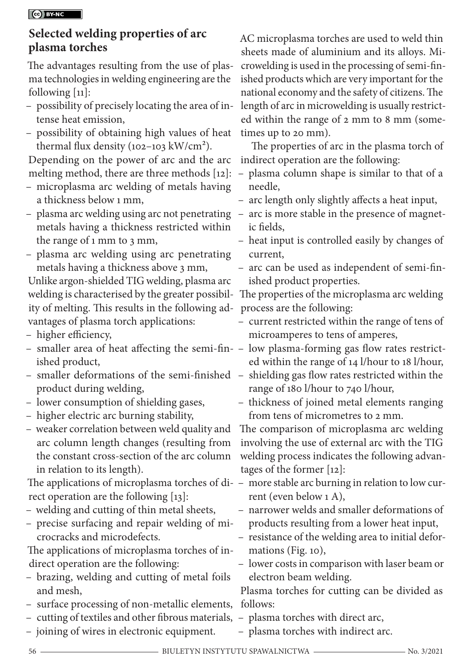#### CO BY-NC

## **Selected welding properties of arc plasma torches**

The advantages resulting from the use of plasma technologies in welding engineering are the following  $[11]$ :

- possibility of precisely locating the area of intense heat emission,
- possibility of obtaining high values of heat thermal flux density (102-103 kW/cm<sup>2</sup>).

Depending on the power of arc and the arc

- microplasma arc welding of metals having a thickness below 1 mm,
- metals having a thickness restricted within the range of 1 mm to 3 mm,
- plasma arc welding using arc penetrating metals having a thickness above 3 mm,

Unlike argon-shielded TIG welding, plasma arc ity of melting. This results in the following ad-process are the following: vantages of plasma torch applications:

- higher efficiency,
- smaller area of heat affecting the semi-fin-– low plasma-forming gas flow rates restrictished product,
- product during welding,
- lower consumption of shielding gases,
- higher electric arc burning stability,
- weaker correlation between weld quality and arc column length changes (resulting from the constant cross-section of the arc column in relation to its length).

rect operation are the following [13]:

- welding and cutting of thin metal sheets,
- precise surfacing and repair welding of microcracks and microdefects.

The applications of microplasma torches of indirect operation are the following:

- brazing, welding and cutting of metal foils and mesh,
- surface processing of non-metallic elements, follows:
- cutting of textiles and other fibrous materials, plasma torches with direct arc,
- joining of wires in electronic equipment.

AC microplasma torches are used to weld thin sheets made of aluminium and its alloys. Microwelding is used in the processing of semi-finished products which are very important for the national economy and the safety of citizens. The length of arc in microwelding is usually restricted within the range of 2 mm to 8 mm (sometimes up to 20 mm).

The properties of arc in the plasma torch of indirect operation are the following:

- melting method, there are three methods [12]: plasma column shape is similar to that of a needle,
	- arc length only slightly affects a heat input,
- plasma arc welding using arc not penetrating arc is more stable in the presence of magnetic fields,
	- heat input is controlled easily by changes of current,
	- arc can be used as independent of semi-finished product properties.

welding is characterised by the greater possibil-The properties of the microplasma arc welding

- current restricted within the range of tens of microamperes to tens of amperes,
- ed within the range of 14 l/hour to 18 l/hour,
- smaller deformations of the semi-finished shielding gas flow rates restricted within the range of 180 l/hour to 740 l/hour,
	- thickness of joined metal elements ranging from tens of micrometres to 2 mm.

The comparison of microplasma arc welding involving the use of external arc with the TIG welding process indicates the following advantages of the former [12]:

- The applications of microplasma torches of di-– more stable arc burning in relation to low current (even below 1 A),
	- narrower welds and smaller deformations of products resulting from a lower heat input,
	- resistance of the welding area to initial deformations (Fig. 10),
	- lower costs in comparison with laser beam or electron beam welding.

Plasma torches for cutting can be divided as

- 
- plasma torches with indirect arc.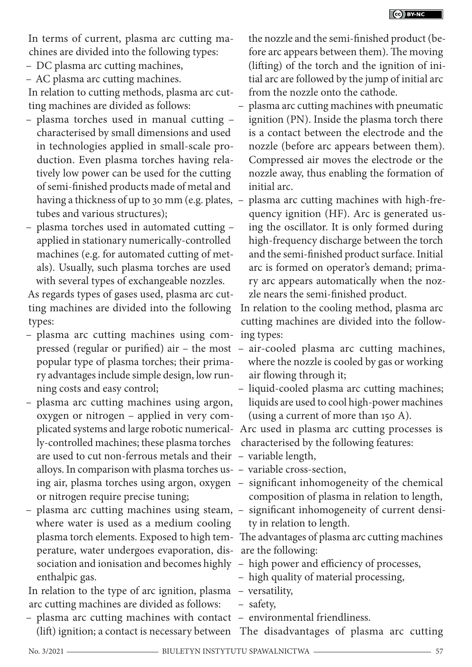In terms of current, plasma arc cutting machines are divided into the following types:

- DC plasma arc cutting machines,
- AC plasma arc cutting machines.

In relation to cutting methods, plasma arc cutting machines are divided as follows:

- plasma torches used in manual cutting characterised by small dimensions and used in technologies applied in small-scale production. Even plasma torches having relatively low power can be used for the cutting of semi-finished products made of metal and having a thickness of up to 30 mm (e.g. plates, tubes and various structures);
- plasma torches used in automated cutting applied in stationary numerically-controlled machines (e.g. for automated cutting of metals). Usually, such plasma torches are used with several types of exchangeable nozzles.

As regards types of gases used, plasma arc cutting machines are divided into the following types:

- plasma arc cutting machines using com-ing types: popular type of plasma torches; their primary advantages include simple design, low running costs and easy control;
- plasma arc cutting machines using argon, oxygen or nitrogen – applied in very comly-controlled machines; these plasma torches are used to cut non-ferrous metals and their – variable length, alloys. In comparison with plasma torches us-– variable cross-section, or nitrogen require precise tuning;
- plasma arc cutting machines using steam, significant inhomogeneity of current densiwhere water is used as a medium cooling perature, water undergoes evaporation, dis-are the following: sociation and ionisation and becomes highly – high power and efficiency of processes, enthalpic gas.

In relation to the type of arc ignition, plasma – versatility, arc cutting machines are divided as follows:

– plasma arc cutting machines with contact – environmental friendliness.

the nozzle and the semi-finished product (before arc appears between them). The moving (lifting) of the torch and the ignition of initial arc are followed by the jump of initial arc from the nozzle onto the cathode.

- plasma arc cutting machines with pneumatic ignition (PN). Inside the plasma torch there is a contact between the electrode and the nozzle (before arc appears between them). Compressed air moves the electrode or the nozzle away, thus enabling the formation of initial arc.
- plasma arc cutting machines with high-frequency ignition (HF). Arc is generated using the oscillator. It is only formed during high-frequency discharge between the torch and the semi-finished product surface. Initial arc is formed on operator's demand; primary arc appears automatically when the nozzle nears the semi-finished product.

In relation to the cooling method, plasma arc cutting machines are divided into the follow-

- pressed (regular or purified) air the most air-cooled plasma arc cutting machines, where the nozzle is cooled by gas or working air flowing through it;
	- liquid-cooled plasma arc cutting machines; liquids are used to cool high-power machines (using a current of more than 150 A).

plicated systems and large robotic numerical-Arc used in plasma arc cutting processes is characterised by the following features:

- 
- 
- ing air, plasma torches using argon, oxygen significant inhomogeneity of the chemical composition of plasma in relation to length,
	- ty in relation to length.

plasma torch elements. Exposed to high tem-The advantages of plasma arc cutting machines

- 
- high quality of material processing,

- safety,
- 

(lift) ignition; a contact is necessary between The disadvantages of plasma arc cutting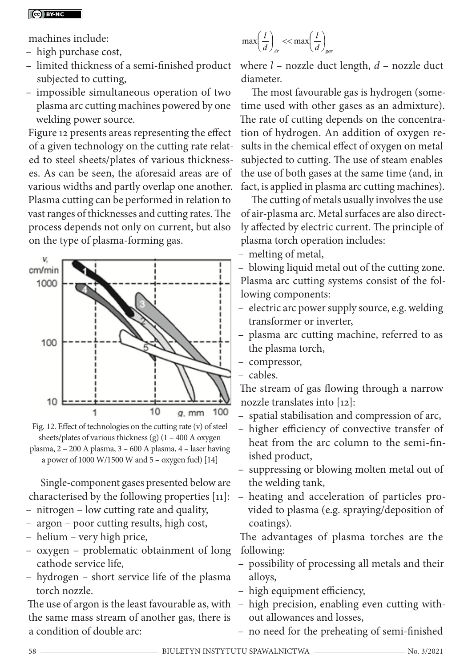machines include:

- high purchase cost,
- limited thickness of a semi-finished product where *l* nozzle duct length, *d* nozzle duct subjected to cutting,
- impossible simultaneous operation of two plasma arc cutting machines powered by one welding power source.

Figure 12 presents areas representing the effect of a given technology on the cutting rate related to steel sheets/plates of various thicknesses. As can be seen, the aforesaid areas are of various widths and partly overlap one another. Plasma cutting can be performed in relation to vast ranges of thicknesses and cutting rates. The process depends not only on current, but also on the type of plasma-forming gas.





Single-component gases presented below are characterised by the following properties [11]:

- nitrogen low cutting rate and quality,
- argon poor cutting results, high cost,
- helium very high price,
- oxygen problematic obtainment of long cathode service life,
- hydrogen short service life of the plasma torch nozzle.

the same mass stream of another gas, there is a condition of double arc:

$$
\max\left(\frac{l}{d}\right)_{Ar} < < \max\left(\frac{l}{d}\right)_{gas}
$$

diameter.

The most favourable gas is hydrogen (sometime used with other gases as an admixture). The rate of cutting depends on the concentration of hydrogen. An addition of oxygen results in the chemical effect of oxygen on metal subjected to cutting. The use of steam enables the use of both gases at the same time (and, in fact, is applied in plasma arc cutting machines).

The cutting of metals usually involves the use of air-plasma arc. Metal surfaces are also directly affected by electric current. The principle of plasma torch operation includes:

– melting of metal,

– blowing liquid metal out of the cutting zone. Plasma arc cutting systems consist of the following components:

- electric arc power supply source, e.g. welding transformer or inverter,
- plasma arc cutting machine, referred to as the plasma torch,
- compressor,
- cables.

The stream of gas flowing through a narrow nozzle translates into [12]:

- spatial stabilisation and compression of arc,
- higher efficiency of convective transfer of heat from the arc column to the semi-finished product,
- suppressing or blowing molten metal out of the welding tank,
- heating and acceleration of particles provided to plasma (e.g. spraying/deposition of coatings).

The advantages of plasma torches are the following:

- possibility of processing all metals and their alloys,
- high equipment efficiency,
- The use of argon is the least favourable as, with high precision, enabling even cutting without allowances and losses,
	- no need for the preheating of semi-finished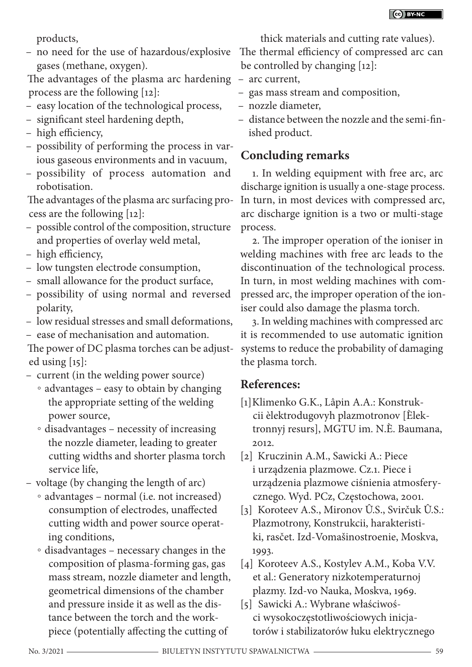products,

– no need for the use of hazardous/explosive gases (methane, oxygen).

The advantages of the plasma arc hardening – arc current, process are the following [12]:

- easy location of the technological process,
- significant steel hardening depth,
- high efficiency,
- possibility of performing the process in various gaseous environments and in vacuum,
- possibility of process automation and robotisation.

The advantages of the plasma arc surfacing process are the following [12]:

- possible control of the composition, structure and properties of overlay weld metal,
- high efficiency,
- low tungsten electrode consumption,
- small allowance for the product surface,
- possibility of using normal and reversed polarity,
- low residual stresses and small deformations,
- ease of mechanisation and automation.

The power of DC plasma torches can be adjusted using [15]:

- current (in the welding power source)
	- advantages easy to obtain by changing the appropriate setting of the welding power source,
	- disadvantages necessity of increasing the nozzle diameter, leading to greater cutting widths and shorter plasma torch service life,
- voltage (by changing the length of arc)
	- advantages normal (i.e. not increased) consumption of electrodes, unaffected cutting width and power source operating conditions,
	- disadvantages necessary changes in the composition of plasma-forming gas, gas mass stream, nozzle diameter and length, geometrical dimensions of the chamber and pressure inside it as well as the distance between the torch and the workpiece (potentially affecting the cutting of

thick materials and cutting rate values). The thermal efficiency of compressed arc can be controlled by changing [12]:

- 
- gas mass stream and composition,
- nozzle diameter,
- distance between the nozzle and the semi-finished product.

# **Concluding remarks**

1. In welding equipment with free arc, arc discharge ignition is usually a one-stage process. In turn, in most devices with compressed arc, arc discharge ignition is a two or multi-stage process.

2. The improper operation of the ioniser in welding machines with free arc leads to the discontinuation of the technological process. In turn, in most welding machines with compressed arc, the improper operation of the ioniser could also damage the plasma torch.

3. In welding machines with compressed arc it is recommended to use automatic ignition systems to reduce the probability of damaging the plasma torch.

## **References:**

- [1]Klimenko G.K., Lâpin A.A.: Konstrukcii èlektrodugovyh plazmotronov [Èlektronnyj resurs], MGTU im. N.È. Baumana, 2012.
- [2] Kruczinin A.M., Sawicki A.: Piece i urządzenia plazmowe. Cz.1. Piece i urządzenia plazmowe ciśnienia atmosferycznego. Wyd. PCz, Częstochowa, 2001.
- [3] Koroteev A.S., Mironov Û.S., Svirčuk Û.S.: Plazmotrony, Konstrukcii, harakteristiki, rasčet. Izd-Vomašinostroenie, Moskva, 1993.
- [4] Koroteev A.S., Kostylev A.M., Koba V.V. et al.: Generatory nizkotemperaturnoj plazmy. Izd-vo Nauka, Moskva, 1969.
- [5] Sawicki A.: Wybrane właściwości wysokoczęstotliwościowych inicjatorów i stabilizatorów łuku elektrycznego